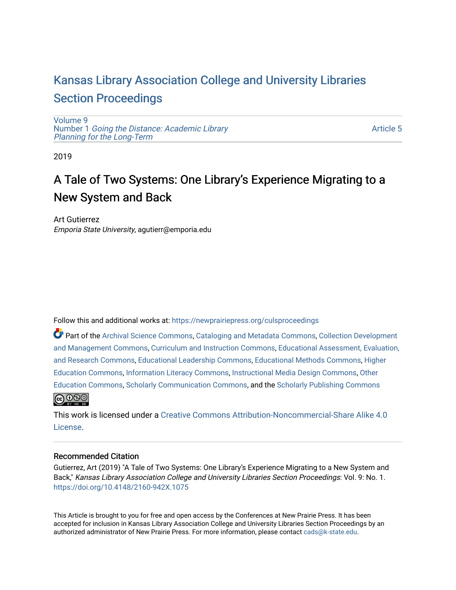## [Kansas Library Association College and University Libraries](https://newprairiepress.org/culsproceedings)  [Section Proceedings](https://newprairiepress.org/culsproceedings)

[Volume 9](https://newprairiepress.org/culsproceedings/vol9) Number 1 [Going the Distance: Academic Library](https://newprairiepress.org/culsproceedings/vol9/iss1)  [Planning for the Long-Term](https://newprairiepress.org/culsproceedings/vol9/iss1) 

[Article 5](https://newprairiepress.org/culsproceedings/vol9/iss1/5) 

2019

# A Tale of Two Systems: One Library's Experience Migrating to a New System and Back

Art Gutierrez Emporia State University, agutierr@emporia.edu

Follow this and additional works at: [https://newprairiepress.org/culsproceedings](https://newprairiepress.org/culsproceedings?utm_source=newprairiepress.org%2Fculsproceedings%2Fvol9%2Fiss1%2F5&utm_medium=PDF&utm_campaign=PDFCoverPages)

Part of the [Archival Science Commons,](http://network.bepress.com/hgg/discipline/1021?utm_source=newprairiepress.org%2Fculsproceedings%2Fvol9%2Fiss1%2F5&utm_medium=PDF&utm_campaign=PDFCoverPages) [Cataloging and Metadata Commons,](http://network.bepress.com/hgg/discipline/1270?utm_source=newprairiepress.org%2Fculsproceedings%2Fvol9%2Fiss1%2F5&utm_medium=PDF&utm_campaign=PDFCoverPages) [Collection Development](http://network.bepress.com/hgg/discipline/1271?utm_source=newprairiepress.org%2Fculsproceedings%2Fvol9%2Fiss1%2F5&utm_medium=PDF&utm_campaign=PDFCoverPages)  [and Management Commons,](http://network.bepress.com/hgg/discipline/1271?utm_source=newprairiepress.org%2Fculsproceedings%2Fvol9%2Fiss1%2F5&utm_medium=PDF&utm_campaign=PDFCoverPages) [Curriculum and Instruction Commons,](http://network.bepress.com/hgg/discipline/786?utm_source=newprairiepress.org%2Fculsproceedings%2Fvol9%2Fiss1%2F5&utm_medium=PDF&utm_campaign=PDFCoverPages) [Educational Assessment, Evaluation,](http://network.bepress.com/hgg/discipline/796?utm_source=newprairiepress.org%2Fculsproceedings%2Fvol9%2Fiss1%2F5&utm_medium=PDF&utm_campaign=PDFCoverPages) [and Research Commons](http://network.bepress.com/hgg/discipline/796?utm_source=newprairiepress.org%2Fculsproceedings%2Fvol9%2Fiss1%2F5&utm_medium=PDF&utm_campaign=PDFCoverPages), [Educational Leadership Commons,](http://network.bepress.com/hgg/discipline/1230?utm_source=newprairiepress.org%2Fculsproceedings%2Fvol9%2Fiss1%2F5&utm_medium=PDF&utm_campaign=PDFCoverPages) [Educational Methods Commons,](http://network.bepress.com/hgg/discipline/1227?utm_source=newprairiepress.org%2Fculsproceedings%2Fvol9%2Fiss1%2F5&utm_medium=PDF&utm_campaign=PDFCoverPages) [Higher](http://network.bepress.com/hgg/discipline/1245?utm_source=newprairiepress.org%2Fculsproceedings%2Fvol9%2Fiss1%2F5&utm_medium=PDF&utm_campaign=PDFCoverPages)  [Education Commons,](http://network.bepress.com/hgg/discipline/1245?utm_source=newprairiepress.org%2Fculsproceedings%2Fvol9%2Fiss1%2F5&utm_medium=PDF&utm_campaign=PDFCoverPages) [Information Literacy Commons](http://network.bepress.com/hgg/discipline/1243?utm_source=newprairiepress.org%2Fculsproceedings%2Fvol9%2Fiss1%2F5&utm_medium=PDF&utm_campaign=PDFCoverPages), [Instructional Media Design Commons,](http://network.bepress.com/hgg/discipline/795?utm_source=newprairiepress.org%2Fculsproceedings%2Fvol9%2Fiss1%2F5&utm_medium=PDF&utm_campaign=PDFCoverPages) [Other](http://network.bepress.com/hgg/discipline/811?utm_source=newprairiepress.org%2Fculsproceedings%2Fvol9%2Fiss1%2F5&utm_medium=PDF&utm_campaign=PDFCoverPages)  [Education Commons,](http://network.bepress.com/hgg/discipline/811?utm_source=newprairiepress.org%2Fculsproceedings%2Fvol9%2Fiss1%2F5&utm_medium=PDF&utm_campaign=PDFCoverPages) [Scholarly Communication Commons](http://network.bepress.com/hgg/discipline/1272?utm_source=newprairiepress.org%2Fculsproceedings%2Fvol9%2Fiss1%2F5&utm_medium=PDF&utm_campaign=PDFCoverPages), and the [Scholarly Publishing Commons](http://network.bepress.com/hgg/discipline/1273?utm_source=newprairiepress.org%2Fculsproceedings%2Fvol9%2Fiss1%2F5&utm_medium=PDF&utm_campaign=PDFCoverPages) **@@@** 

This work is licensed under a [Creative Commons Attribution-Noncommercial-Share Alike 4.0](https://creativecommons.org/licenses/by-nc-sa/4.0/) [License.](https://creativecommons.org/licenses/by-nc-sa/4.0/)

### Recommended Citation

Gutierrez, Art (2019) "A Tale of Two Systems: One Library's Experience Migrating to a New System and Back," Kansas Library Association College and University Libraries Section Proceedings: Vol. 9: No. 1. <https://doi.org/10.4148/2160-942X.1075>

This Article is brought to you for free and open access by the Conferences at New Prairie Press. It has been accepted for inclusion in Kansas Library Association College and University Libraries Section Proceedings by an authorized administrator of New Prairie Press. For more information, please contact [cads@k-state.edu.](mailto:cads@k-state.edu)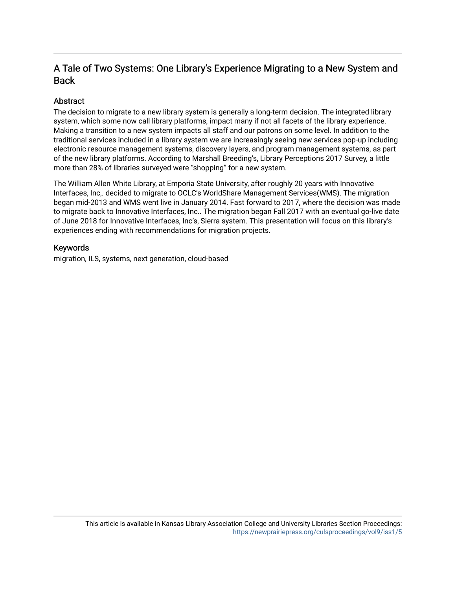## A Tale of Two Systems: One Library's Experience Migrating to a New System and Back

## Abstract

The decision to migrate to a new library system is generally a long-term decision. The integrated library system, which some now call library platforms, impact many if not all facets of the library experience. Making a transition to a new system impacts all staff and our patrons on some level. In addition to the traditional services included in a library system we are increasingly seeing new services pop-up including electronic resource management systems, discovery layers, and program management systems, as part of the new library platforms. According to Marshall Breeding's, Library Perceptions 2017 Survey, a little more than 28% of libraries surveyed were "shopping" for a new system.

The William Allen White Library, at Emporia State University, after roughly 20 years with Innovative Interfaces, Inc,. decided to migrate to OCLC's WorldShare Management Services(WMS). The migration began mid-2013 and WMS went live in January 2014. Fast forward to 2017, where the decision was made to migrate back to Innovative Interfaces, Inc.. The migration began Fall 2017 with an eventual go-live date of June 2018 for Innovative Interfaces, Inc's, Sierra system. This presentation will focus on this library's experiences ending with recommendations for migration projects.

### Keywords

migration, ILS, systems, next generation, cloud-based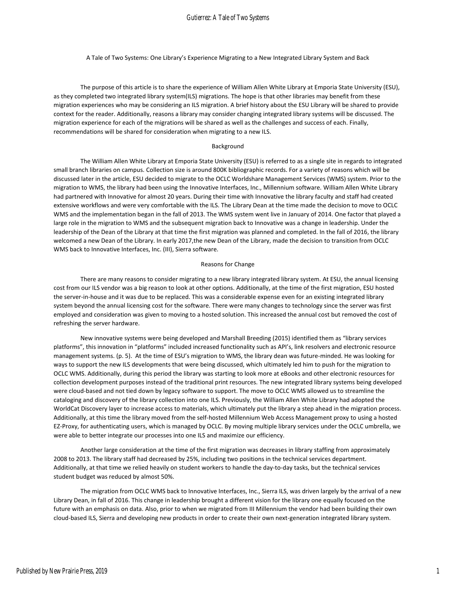#### Gutierrez: A Tale of Two Systems

A Tale of Two Systems: One Library's Experience Migrating to a New Integrated Library System and Back

The purpose of this article is to share the experience of William Allen White Library at Emporia State University (ESU), as they completed two integrated library system(ILS) migrations. The hope is that other libraries may benefit from these migration experiences who may be considering an ILS migration. A brief history about the ESU Library will be shared to provide context for the reader. Additionally, reasons a library may consider changing integrated library systems will be discussed. The migration experience for each of the migrations will be shared as well as the challenges and success of each. Finally, recommendations will be shared for consideration when migrating to a new ILS.

#### Background

The William Allen White Library at Emporia State University (ESU) is referred to as a single site in regards to integrated small branch libraries on campus. Collection size is around 800K bibliographic records. For a variety of reasons which will be discussed later in the article, ESU decided to migrate to the OCLC Worldshare Management Services (WMS) system. Prior to the migration to WMS, the library had been using the Innovative Interfaces, Inc., Millennium software. William Allen White Library had partnered with Innovative for almost 20 years. During their time with Innovative the library faculty and staff had created extensive workflows and were very comfortable with the ILS. The Library Dean at the time made the decision to move to OCLC WMS and the implementation began in the fall of 2013. The WMS system went live in January of 2014. One factor that played a large role in the migration to WMS and the subsequent migration back to Innovative was a change in leadership. Under the leadership of the Dean of the Library at that time the first migration was planned and completed. In the fall of 2016, the library welcomed a new Dean of the Library. In early 2017,the new Dean of the Library, made the decision to transition from OCLC WMS back to Innovative Interfaces, Inc. (III), Sierra software.

#### Reasons for Change

There are many reasons to consider migrating to a new library integrated library system. At ESU, the annual licensing cost from our ILS vendor was a big reason to look at other options. Additionally, at the time of the first migration, ESU hosted the server-in-house and it was due to be replaced. This was a considerable expense even for an existing integrated library system beyond the annual licensing cost for the software. There were many changes to technology since the server was first employed and consideration was given to moving to a hosted solution. This increased the annual cost but removed the cost of refreshing the server hardware.

New innovative systems were being developed and Marshall Breeding (2015) identified them as "library services platforms", this innovation in "platforms" included increased functionality such as API's, link resolvers and electronic resource management systems. (p. 5). At the time of ESU's migration to WMS, the library dean was future-minded. He was looking for ways to support the new ILS developments that were being discussed, which ultimately led him to push for the migration to OCLC WMS. Additionally, during this period the library was starting to look more at eBooks and other electronic resources for collection development purposes instead of the traditional print resources. The new integrated library systems being developed were cloud-based and not tied down by legacy software to support. The move to OCLC WMS allowed us to streamline the cataloging and discovery of the library collection into one ILS. Previously, the William Allen White Library had adopted the WorldCat Discovery layer to increase access to materials, which ultimately put the library a step ahead in the migration process. Additionally, at this time the library moved from the self-hosted Millennium Web Access Management proxy to using a hosted EZ-Proxy, for authenticating users, which is managed by OCLC. By moving multiple library services under the OCLC umbrella, we were able to better integrate our processes into one ILS and maximize our efficiency.

Another large consideration at the time of the first migration was decreases in library staffing from approximately 2008 to 2013. The library staff had decreased by 25%, including two positions in the technical services department. Additionally, at that time we relied heavily on student workers to handle the day-to-day tasks, but the technical services student budget was reduced by almost 50%.

The migration from OCLC WMS back to Innovative Interfaces, Inc., Sierra ILS, was driven largely by the arrival of a new Library Dean, in fall of 2016. This change in leadership brought a different vision for the library one equally focused on the future with an emphasis on data. Also, prior to when we migrated from III Millennium the vendor had been building their own cloud-based ILS, Sierra and developing new products in order to create their own next-generation integrated library system.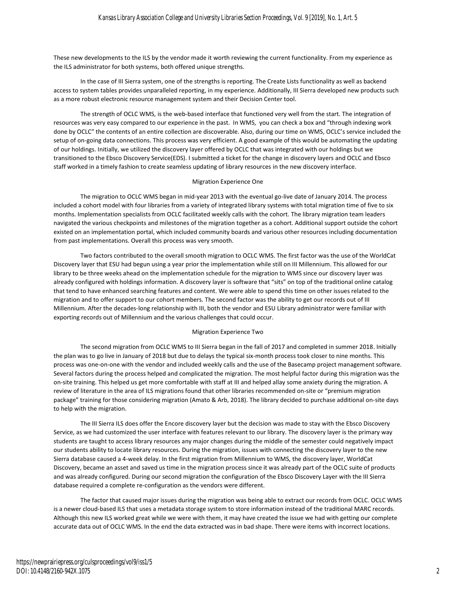These new developments to the ILS by the vendor made it worth reviewing the current functionality. From my experience as the ILS administrator for both systems, both offered unique strengths.

In the case of III Sierra system, one of the strengths is reporting. The Create Lists functionality as well as backend access to system tables provides unparalleled reporting, in my experience. Additionally, III Sierra developed new products such as a more robust electronic resource management system and their Decision Center tool.

The strength of OCLC WMS, is the web-based interface that functioned very well from the start. The integration of resources was very easy compared to our experience in the past. In WMS, you can check a box and "through indexing work done by OCLC" the contents of an entire collection are discoverable. Also, during our time on WMS, OCLC's service included the setup of on-going data connections. This process was very efficient. A good example of this would be automating the updating of our holdings. Initially, we utilized the discovery layer offered by OCLC that was integrated with our holdings but we transitioned to the Ebsco Discovery Service(EDS). I submitted a ticket for the change in discovery layers and OCLC and Ebsco staff worked in a timely fashion to create seamless updating of library resources in the new discovery interface.

#### Migration Experience One

The migration to OCLC WMS began in mid-year 2013 with the eventual go-live date of January 2014. The process included a cohort model with four libraries from a variety of integrated library systems with total migration time of five to six months. Implementation specialists from OCLC facilitated weekly calls with the cohort. The library migration team leaders navigated the various checkpoints and milestones of the migration together as a cohort. Additional support outside the cohort existed on an implementation portal, which included community boards and various other resources including documentation from past implementations. Overall this process was very smooth.

Two factors contributed to the overall smooth migration to OCLC WMS. The first factor was the use of the WorldCat Discovery layer that ESU had begun using a year prior the implementation while still on III Millennium. This allowed for our library to be three weeks ahead on the implementation schedule for the migration to WMS since our discovery layer was already configured with holdings information. A discovery layer is software that "sits" on top of the traditional online catalog that tend to have enhanced searching features and content. We were able to spend this time on other issues related to the migration and to offer support to our cohort members. The second factor was the ability to get our records out of III Millennium. After the decades-long relationship with III, both the vendor and ESU Library administrator were familiar with exporting records out of Millennium and the various challenges that could occur.

#### Migration Experience Two

The second migration from OCLC WMS to III Sierra began in the fall of 2017 and completed in summer 2018. Initially the plan was to go live in January of 2018 but due to delays the typical six-month process took closer to nine months. This process was one-on-one with the vendor and included weekly calls and the use of the Basecamp project management software. Several factors during the process helped and complicated the migration. The most helpful factor during this migration was the on-site training. This helped us get more comfortable with staff at III and helped allay some anxiety during the migration. A review of literature in the area of ILS migrations found that other libraries recommended on-site or "premium migration package" training for those considering migration (Amato & Arb, 2018). The library decided to purchase additional on-site days to help with the migration.

The III Sierra ILS does offer the Encore discovery layer but the decision was made to stay with the Ebsco Discovery Service, as we had customized the user interface with features relevant to our library. The discovery layer is the primary way students are taught to access library resources any major changes during the middle of the semester could negatively impact our students ability to locate library resources. During the migration, issues with connecting the discovery layer to the new Sierra database caused a 4-week delay. In the first migration from Millennium to WMS, the discovery layer, WorldCat Discovery, became an asset and saved us time in the migration process since it was already part of the OCLC suite of products and was already configured. During our second migration the configuration of the Ebsco Discovery Layer with the III Sierra database required a complete re-configuration as the vendors were different.

The factor that caused major issues during the migration was being able to extract our records from OCLC. OCLC WMS is a newer cloud-based ILS that uses a metadata storage system to store information instead of the traditional MARC records. Although this new ILS worked great while we were with them, it may have created the issue we had with getting our complete accurate data out of OCLC WMS. In the end the data extracted was in bad shape. There were items with incorrect locations.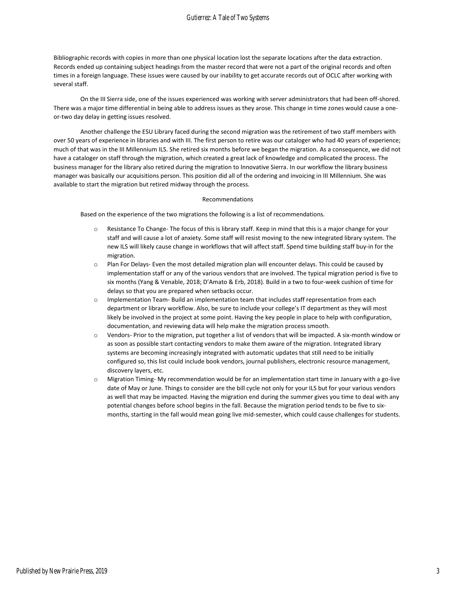#### Gutierrez: A Tale of Two Systems

Bibliographic records with copies in more than one physical location lost the separate locations after the data extraction. Records ended up containing subject headings from the master record that were not a part of the original records and often times in a foreign language. These issues were caused by our inability to get accurate records out of OCLC after working with several staff.

On the III Sierra side, one of the issues experienced was working with server administrators that had been off-shored. There was a major time differential in being able to address issues as they arose. This change in time zones would cause a oneor-two day delay in getting issues resolved.

Another challenge the ESU Library faced during the second migration was the retirement of two staff members with over 50 years of experience in libraries and with III. The first person to retire was our cataloger who had 40 years of experience; much of that was in the III Millennium ILS. She retired six months before we began the migration. As a consequence, we did not have a cataloger on staff through the migration, which created a great lack of knowledge and complicated the process. The business manager for the library also retired during the migration to Innovative Sierra. In our workflow the library business manager was basically our acquisitions person. This position did all of the ordering and invoicing in III Millennium. She was available to start the migration but retired midway through the process.

#### Recommendations

Based on the experience of the two migrations the following is a list of recommendations.

- o Resistance To Change- The focus of this is library staff. Keep in mind that this is a major change for your staff and will cause a lot of anxiety. Some staff will resist moving to the new integrated library system. The new ILS will likely cause change in workflows that will affect staff. Spend time building staff buy-in for the migration.
- o Plan For Delays- Even the most detailed migration plan will encounter delays. This could be caused by implementation staff or any of the various vendors that are involved. The typical migration period is five to six months (Yang & Venable, 2018; D'Amato & Erb, 2018). Build in a two to four-week cushion of time for delays so that you are prepared when setbacks occur.
- o Implementation Team- Build an implementation team that includes staff representation from each department or library workflow. Also, be sure to include your college's IT department as they will most likely be involved in the project at some point. Having the key people in place to help with configuration, documentation, and reviewing data will help make the migration process smooth.
- o Vendors- Prior to the migration, put together a list of vendors that will be impacted. A six-month window or as soon as possible start contacting vendors to make them aware of the migration. Integrated library systems are becoming increasingly integrated with automatic updates that still need to be initially configured so, this list could include book vendors, journal publishers, electronic resource management, discovery layers, etc.
- o Migration Timing- My recommendation would be for an implementation start time in January with a go-live date of May or June. Things to consider are the bill cycle not only for your ILS but for your various vendors as well that may be impacted. Having the migration end during the summer gives you time to deal with any potential changes before school begins in the fall. Because the migration period tends to be five to sixmonths, starting in the fall would mean going live mid-semester, which could cause challenges for students.